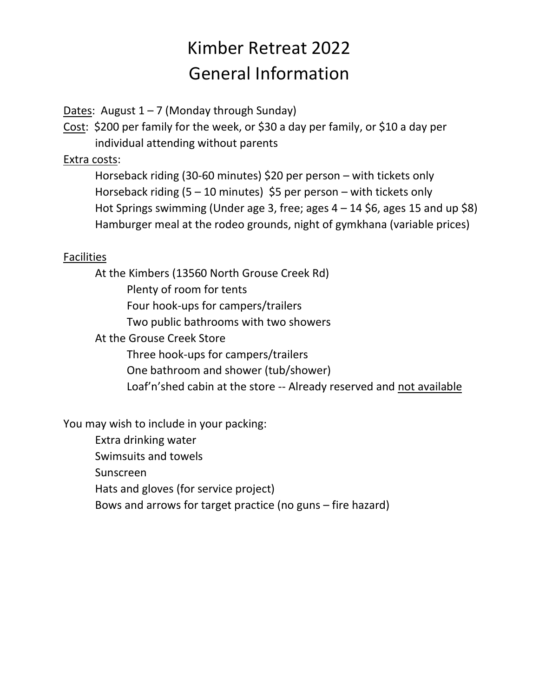# Kimber Retreat 2022 General Information

Dates: August  $1 - 7$  (Monday through Sunday)

Cost: \$200 per family for the week, or \$30 a day per family, or \$10 a day per individual attending without parents

#### Extra costs:

Horseback riding (30-60 minutes) \$20 per person – with tickets only Horseback riding  $(5 - 10 \text{ minutes})$  \$5 per person – with tickets only Hot Springs swimming (Under age 3, free; ages  $4 - 14$  \$6, ages 15 and up \$8) Hamburger meal at the rodeo grounds, night of gymkhana (variable prices)

#### Facilities

At the Kimbers (13560 North Grouse Creek Rd) Plenty of room for tents Four hook-ups for campers/trailers Two public bathrooms with two showers At the Grouse Creek Store Three hook-ups for campers/trailers One bathroom and shower (tub/shower) Loaf'n'shed cabin at the store -- Already reserved and not available

### You may wish to include in your packing:

Extra drinking water Swimsuits and towels Sunscreen Hats and gloves (for service project) Bows and arrows for target practice (no guns – fire hazard)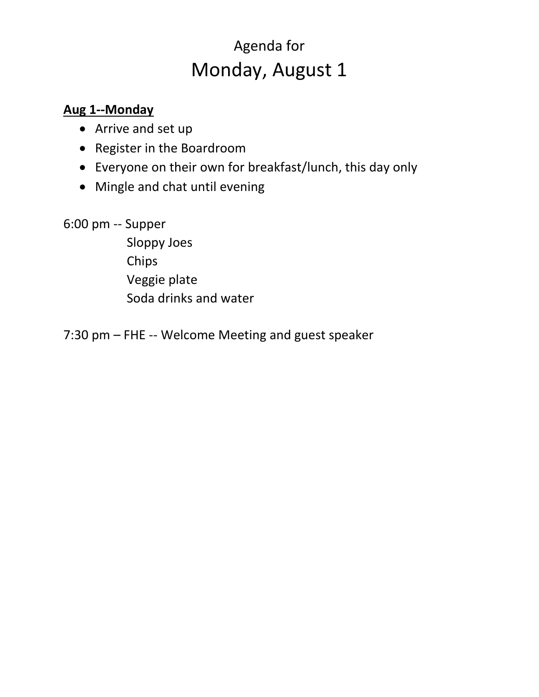# Agenda for Monday, August 1

### **Aug 1--Monday**

- Arrive and set up
- Register in the Boardroom
- Everyone on their own for breakfast/lunch, this day only
- Mingle and chat until evening

6:00 pm -- Supper

Sloppy Joes Chips Veggie plate Soda drinks and water

7:30 pm – FHE -- Welcome Meeting and guest speaker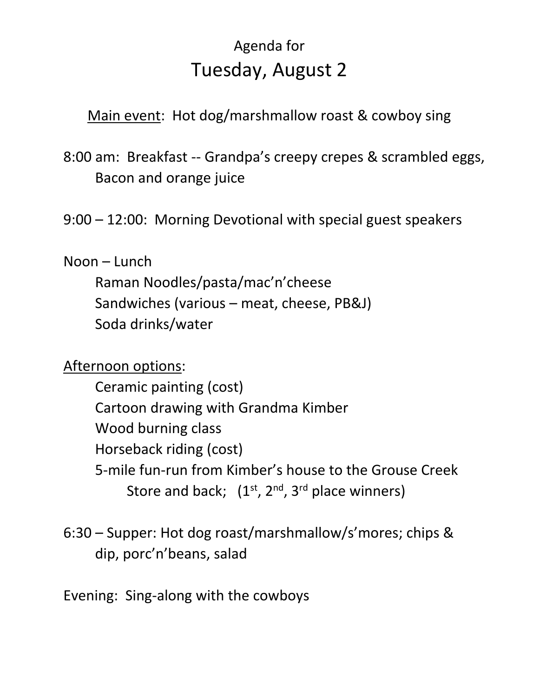## Agenda for Tuesday, August 2

Main event: Hot dog/marshmallow roast & cowboy sing

8:00 am: Breakfast -- Grandpa's creepy crepes & scrambled eggs, Bacon and orange juice

9:00 – 12:00: Morning Devotional with special guest speakers

Noon – Lunch

Raman Noodles/pasta/mac'n'cheese Sandwiches (various – meat, cheese, PB&J) Soda drinks/water

Afternoon options:

Ceramic painting (cost) Cartoon drawing with Grandma Kimber Wood burning class Horseback riding (cost) 5-mile fun-run from Kimber's house to the Grouse Creek Store and back;  $(1^{st}, 2^{nd}, 3^{rd}$  place winners)

6:30 – Supper: Hot dog roast/marshmallow/s'mores; chips & dip, porc'n'beans, salad

Evening: Sing-along with the cowboys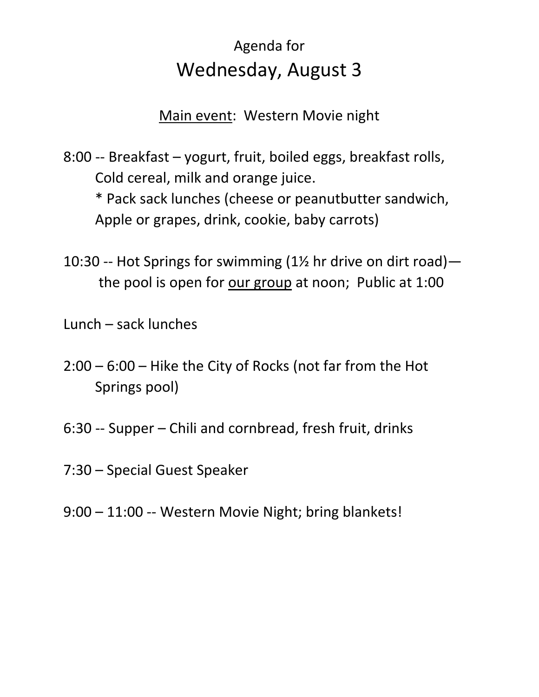## Agenda for Wednesday, August 3

Main event: Western Movie night

- 8:00 -- Breakfast yogurt, fruit, boiled eggs, breakfast rolls, Cold cereal, milk and orange juice. \* Pack sack lunches (cheese or peanutbutter sandwich, Apple or grapes, drink, cookie, baby carrots)
- 10:30 -- Hot Springs for swimming (1½ hr drive on dirt road) the pool is open for our group at noon; Public at 1:00
- Lunch sack lunches
- 2:00 6:00 Hike the City of Rocks (not far from the Hot Springs pool)
- 6:30 -- Supper Chili and cornbread, fresh fruit, drinks
- 7:30 Special Guest Speaker
- 9:00 11:00 -- Western Movie Night; bring blankets!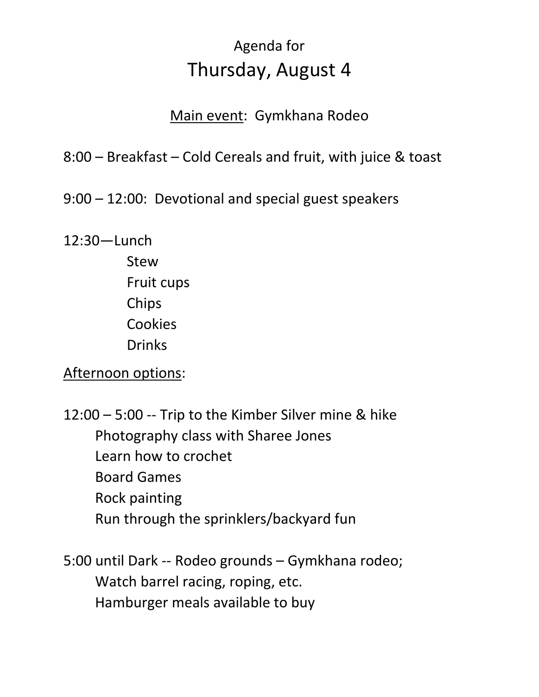## Agenda for Thursday, August 4

### Main event: Gymkhana Rodeo

8:00 – Breakfast – Cold Cereals and fruit, with juice & toast

9:00 – 12:00: Devotional and special guest speakers

12:30—Lunch Stew Fruit cups

Chips **Cookies** Drinks

Afternoon options:

12:00 – 5:00 -- Trip to the Kimber Silver mine & hike Photography class with Sharee Jones Learn how to crochet Board Games Rock painting Run through the sprinklers/backyard fun

5:00 until Dark -- Rodeo grounds – Gymkhana rodeo; Watch barrel racing, roping, etc. Hamburger meals available to buy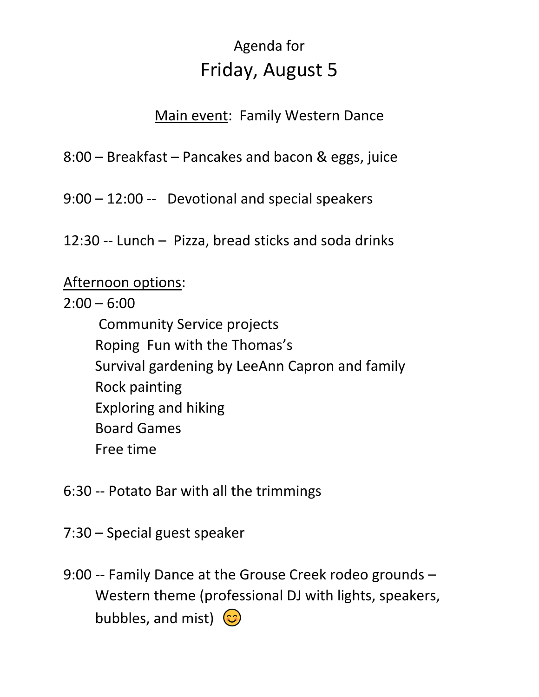## Agenda for Friday, August 5

### Main event: Family Western Dance

8:00 – Breakfast – Pancakes and bacon & eggs, juice

9:00 – 12:00 -- Devotional and special speakers

12:30 -- Lunch – Pizza, bread sticks and soda drinks

### Afternoon options:

 $2:00 - 6:00$ 

Community Service projects Roping Fun with the Thomas's Survival gardening by LeeAnn Capron and family Rock painting Exploring and hiking Board Games Free time

- 6:30 -- Potato Bar with all the trimmings
- 7:30 Special guest speaker
- 9:00 -- Family Dance at the Grouse Creek rodeo grounds Western theme (professional DJ with lights, speakers, bubbles, and mist)  $\circled{c}$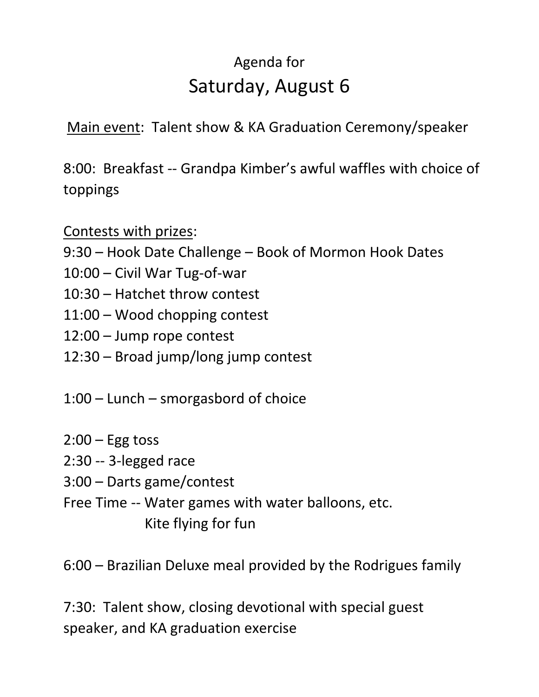### Agenda for Saturday, August 6

Main event: Talent show & KA Graduation Ceremony/speaker

8:00: Breakfast -- Grandpa Kimber's awful waffles with choice of toppings

Contests with prizes:

- 9:30 Hook Date Challenge Book of Mormon Hook Dates
- 10:00 Civil War Tug-of-war
- 10:30 Hatchet throw contest
- 11:00 Wood chopping contest
- 12:00 Jump rope contest
- 12:30 Broad jump/long jump contest
- 1:00 Lunch smorgasbord of choice
- $2:00 Egg$  toss
- 2:30 -- 3-legged race
- 3:00 Darts game/contest
- Free Time -- Water games with water balloons, etc. Kite flying for fun

6:00 – Brazilian Deluxe meal provided by the Rodrigues family

7:30: Talent show, closing devotional with special guest speaker, and KA graduation exercise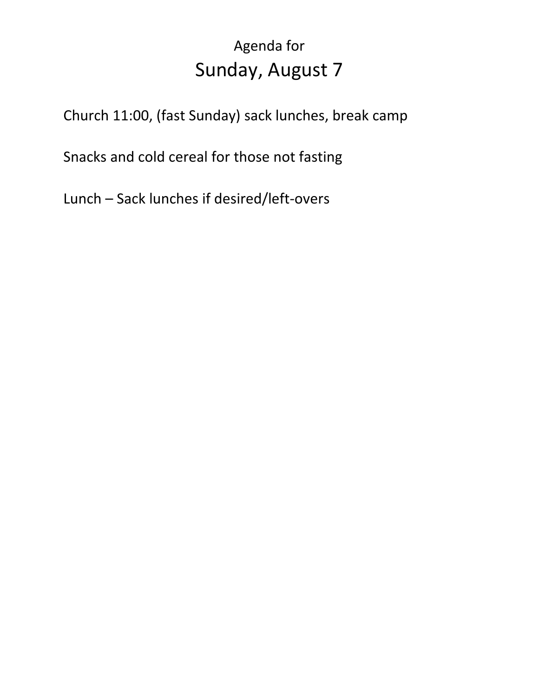## Agenda for Sunday, August 7

Church 11:00, (fast Sunday) sack lunches, break camp

Snacks and cold cereal for those not fasting

Lunch – Sack lunches if desired/left-overs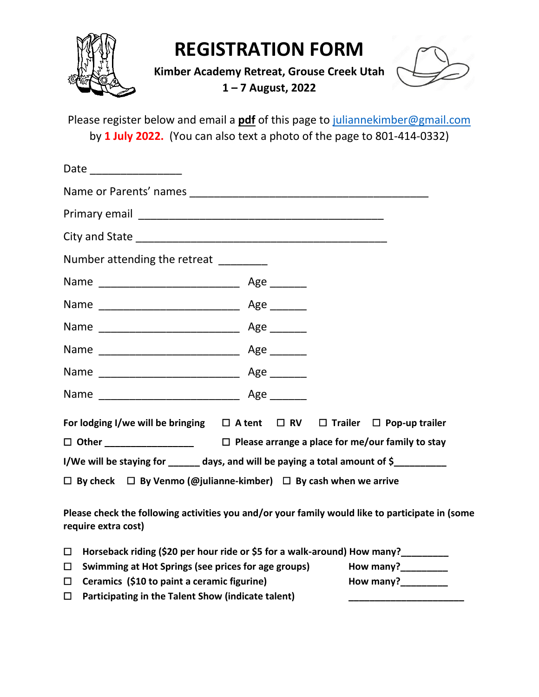**REGISTRATION FORM**



**Kimber Academy Retreat, Grouse Creek Utah 1 – 7 August, 2022**



Please register below and email a **pdf** of this page to [juliannekimber@gmail.com](mailto:juliannekimber@gmail.com) by **1 July 2022.** (You can also text a photo of the page to 801-414-0332)

| Date _________________                                                                         |  |  |
|------------------------------------------------------------------------------------------------|--|--|
|                                                                                                |  |  |
|                                                                                                |  |  |
|                                                                                                |  |  |
| Number attending the retreat ________                                                          |  |  |
|                                                                                                |  |  |
|                                                                                                |  |  |
|                                                                                                |  |  |
|                                                                                                |  |  |
|                                                                                                |  |  |
|                                                                                                |  |  |
| For lodging I/we will be bringing $\Box$ A tent $\Box$ RV $\Box$ Trailer $\Box$ Pop-up trailer |  |  |
|                                                                                                |  |  |
| I/We will be staying for ______ days, and will be paying a total amount of \$_______           |  |  |
| $\Box$ By check $\Box$ By Venmo (@julianne-kimber) $\Box$ By cash when we arrive               |  |  |

**Please check the following activities you and/or your family would like to participate in (some require extra cost)**

- G **Horseback riding (\$20 per hour ride or \$5 for a walk-around) How many?\_\_\_\_\_\_\_\_\_**
- □ Swimming at Hot Springs (see prices for age groups) How many?

- □ Ceramics (\$10 to paint a ceramic figurine) How many?
- 
- $\Box$  Participating in the Talent Show (indicate talent)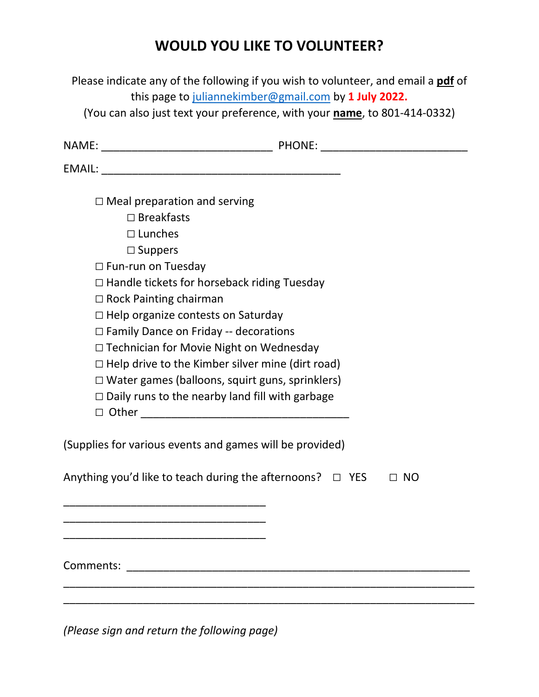### **WOULD YOU LIKE TO VOLUNTEER?**

Please indicate any of the following if you wish to volunteer, and email a **pdf** of this page to [juliannekimber@gmail.com](mailto:juliannekimber@gmail.com) by **1 July 2022.** 

(You can also just text your preference, with your **name**, to 801-414-0332)

| $\Box$ Handle tickets for horseback riding Tuesday<br>$\Box$ Help organize contests on Saturday<br>$\Box$ Family Dance on Friday -- decorations<br>□ Technician for Movie Night on Wednesday<br>$\Box$ Help drive to the Kimber silver mine (dirt road)<br>$\Box$ Water games (balloons, squirt guns, sprinklers)<br>$\Box$ Daily runs to the nearby land fill with garbage |  |  |
|-----------------------------------------------------------------------------------------------------------------------------------------------------------------------------------------------------------------------------------------------------------------------------------------------------------------------------------------------------------------------------|--|--|
| (Supplies for various events and games will be provided)                                                                                                                                                                                                                                                                                                                    |  |  |
| Anything you'd like to teach during the afternoons? $\Box$ YES<br>$\square$ NO                                                                                                                                                                                                                                                                                              |  |  |
|                                                                                                                                                                                                                                                                                                                                                                             |  |  |
|                                                                                                                                                                                                                                                                                                                                                                             |  |  |

*(Please sign and return the following page)*